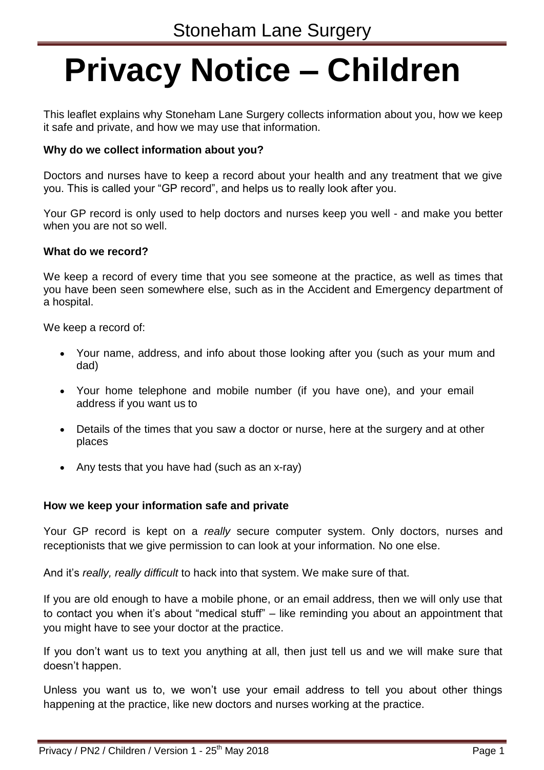# **Privacy Notice – Children**

This leaflet explains why Stoneham Lane Surgery collects information about you, how we keep it safe and private, and how we may use that information.

#### **Why do we collect information about you?**

Doctors and nurses have to keep a record about your health and any treatment that we give you. This is called your "GP record", and helps us to really look after you.

Your GP record is only used to help doctors and nurses keep you well - and make you better when you are not so well.

#### **What do we record?**

We keep a record of every time that you see someone at the practice, as well as times that you have been seen somewhere else, such as in the Accident and Emergency department of a hospital.

We keep a record of:

- Your name, address, and info about those looking after you (such as your mum and dad)
- Your home telephone and mobile number (if you have one), and your email address if you want us to
- Details of the times that you saw a doctor or nurse, here at the surgery and at other places
- Any tests that you have had (such as an x-ray)

#### **How we keep your information safe and private**

Your GP record is kept on a *really* secure computer system. Only doctors, nurses and receptionists that we give permission to can look at your information. No one else.

And it's *really, really difficult* to hack into that system. We make sure of that.

If you are old enough to have a mobile phone, or an email address, then we will only use that to contact you when it's about "medical stuff" – like reminding you about an appointment that you might have to see your doctor at the practice.

If you don't want us to text you anything at all, then just tell us and we will make sure that doesn't happen.

Unless you want us to, we won't use your email address to tell you about other things happening at the practice, like new doctors and nurses working at the practice.